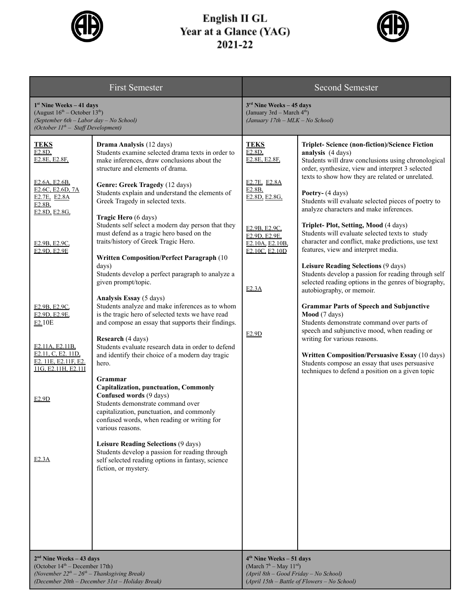

## English II GL<br>Year at a Glance (YAG)<br>2021-22



ı

| <b>First Semester</b>                                                                                                                                                                                                                                                                                                                   |                                                                                                                                                                                                                                                                                                                                                                                                                                                                                                                                                                                                                                                                                                                                                                                                                                                                                                                                                                                                                                                                                                                                                                                                                                                                                                                                                                | <b>Second Semester</b>                                                                                                                                                                                                       |                                                                                                                                                                                                                                                                                                                                                                                                                                                                                                                                                                                                                                                                                                                                                                                                                                                                                                                                                                                                                                                                                                  |  |
|-----------------------------------------------------------------------------------------------------------------------------------------------------------------------------------------------------------------------------------------------------------------------------------------------------------------------------------------|----------------------------------------------------------------------------------------------------------------------------------------------------------------------------------------------------------------------------------------------------------------------------------------------------------------------------------------------------------------------------------------------------------------------------------------------------------------------------------------------------------------------------------------------------------------------------------------------------------------------------------------------------------------------------------------------------------------------------------------------------------------------------------------------------------------------------------------------------------------------------------------------------------------------------------------------------------------------------------------------------------------------------------------------------------------------------------------------------------------------------------------------------------------------------------------------------------------------------------------------------------------------------------------------------------------------------------------------------------------|------------------------------------------------------------------------------------------------------------------------------------------------------------------------------------------------------------------------------|--------------------------------------------------------------------------------------------------------------------------------------------------------------------------------------------------------------------------------------------------------------------------------------------------------------------------------------------------------------------------------------------------------------------------------------------------------------------------------------------------------------------------------------------------------------------------------------------------------------------------------------------------------------------------------------------------------------------------------------------------------------------------------------------------------------------------------------------------------------------------------------------------------------------------------------------------------------------------------------------------------------------------------------------------------------------------------------------------|--|
| $1st$ Nine Weeks - 41 days<br>(August $16^{th}$ – October $13^{th}$ )<br>(September 6th - Labor day - No School)<br>(October $IIth$ – Staff Development)                                                                                                                                                                                |                                                                                                                                                                                                                                                                                                                                                                                                                                                                                                                                                                                                                                                                                                                                                                                                                                                                                                                                                                                                                                                                                                                                                                                                                                                                                                                                                                | $3rd$ Nine Weeks – 45 days<br>(January 3rd – March $4th$ )<br>(January 17th - MLK - No School)                                                                                                                               |                                                                                                                                                                                                                                                                                                                                                                                                                                                                                                                                                                                                                                                                                                                                                                                                                                                                                                                                                                                                                                                                                                  |  |
| <b>TEKS</b><br>E2.8D.<br>E2.8E, E2.8F,<br>E2.6A, E2.6B,<br>E <sub>2.6</sub> C, E <sub>2.6</sub> D, 7A<br>E2.7E, E2.8A<br>E2.8B.<br>E2.8D, E2.8G,<br>E2.9B, E2.9C,<br>E2.9D, E2.9E<br>E2.9B, E2.9C,<br>E2.9D, E2.9E,<br>E2.10E<br>E2.11A, E2.11B,<br>E2.11, C, E2. 11D,<br>E2. 11E, E2.11F, E2.<br>11G, E2.11H, E2.11I<br>E2.9D<br>E2.3A | <b>Drama Analysis</b> (12 days)<br>Students examine selected drama texts in order to<br>make inferences, draw conclusions about the<br>structure and elements of drama.<br>Genre: Greek Tragedy (12 days)<br>Students explain and understand the elements of<br>Greek Tragedy in selected texts.<br>Tragic Hero (6 days)<br>Students self select a modern day person that they<br>must defend as a tragic hero based on the<br>traits/history of Greek Tragic Hero.<br>Written Composition/Perfect Paragraph (10<br>days)<br>Students develop a perfect paragraph to analyze a<br>given prompt/topic.<br>Analysis Essay (5 days)<br>Students analyze and make inferences as to whom<br>is the tragic hero of selected texts we have read<br>and compose an essay that supports their findings.<br><b>Research</b> (4 days)<br>Students evaluate research data in order to defend<br>and identify their choice of a modern day tragic<br>hero.<br><b>Grammar</b><br>Capitalization, punctuation, Commonly<br>Confused words (9 days)<br>Students demonstrate command over<br>capitalization, punctuation, and commonly<br>confused words, when reading or writing for<br>various reasons.<br>Leisure Reading Selections (9 days)<br>Students develop a passion for reading through<br>self selected reading options in fantasy, science<br>fiction, or mystery. | <b>TEKS</b><br>E2.8D<br>E2.8E, E2.8F,<br>E2.7E, E2.8A<br>E2.8B,<br>E2.8D, E2.8G,<br>E2.9B, E2.9C,<br>E2.9D, E2.9E,<br>E2.10A, E2.10B,<br>E <sub>2.10</sub> C <sub>2</sub> E <sub>2.10</sub> D <sub>1</sub><br>E2.3A<br>E2.9D | <b>Triplet-Science (non-fiction)/Science Fiction</b><br>analysis (4 days)<br>Students will draw conclusions using chronological<br>order, synthesize, view and interpret 3 selected<br>texts to show how they are related or unrelated.<br>Poetry- (4 days)<br>Students will evaluate selected pieces of poetry to<br>analyze characters and make inferences.<br>Triplet-Plot, Setting, Mood (4 days)<br>Students will evaluate selected texts to study<br>character and conflict, make predictions, use text<br>features, view and interpret media.<br>Leisure Reading Selections (9 days)<br>Students develop a passion for reading through self<br>selected reading options in the genres of biography,<br>autobiography, or memoir.<br><b>Grammar Parts of Speech and Subjunctive</b><br>Mood (7 days)<br>Students demonstrate command over parts of<br>speech and subjunctive mood, when reading or<br>writing for various reasons.<br>Written Composition/Persuasive Essay (10 days)<br>Students compose an essay that uses persuasive<br>techniques to defend a position on a given topic |  |
| $2nd$ Nine Weeks – 43 days<br>(October $14th$ – December 17th)<br>(November $22^{th} - 26^{th} -$ Thanksgiving Break)<br>(December 20th – December 31st – Holiday Rreak)                                                                                                                                                                |                                                                                                                                                                                                                                                                                                                                                                                                                                                                                                                                                                                                                                                                                                                                                                                                                                                                                                                                                                                                                                                                                                                                                                                                                                                                                                                                                                | 4 <sup>th</sup> Nine Weeks - 51 days<br>(March $7^h$ – May $11^{rd}$ )<br>$(April 8th - Good Friday - No School)$<br>$(Anril 15th - Battle of Flowers - No School)$                                                          |                                                                                                                                                                                                                                                                                                                                                                                                                                                                                                                                                                                                                                                                                                                                                                                                                                                                                                                                                                                                                                                                                                  |  |